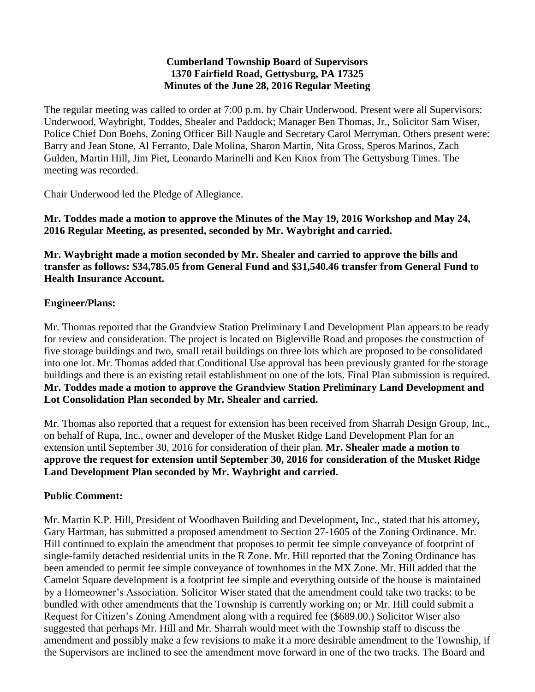#### **Cumberland Township Board of Supervisors 1370 Fairfield Road, Gettysburg, PA 17325 Minutes of the June 28, 2016 Regular Meeting**

The regular meeting was called to order at 7:00 p.m. by Chair Underwood. Present were all Supervisors: Underwood, Waybright, Toddes, Shealer and Paddock; Manager Ben Thomas, Jr., Solicitor Sam Wiser, Police Chief Don Boehs, Zoning Officer Bill Naugle and Secretary Carol Merryman. Others present were: Barry and Jean Stone, Al Ferranto, Dale Molina, Sharon Martin, Nita Gross, Speros Marinos, Zach Gulden, Martin Hill, Jim Piet, Leonardo Marinelli and Ken Knox from The Gettysburg Times. The meeting was recorded.

Chair Underwood led the Pledge of Allegiance.

**Mr. Toddes made a motion to approve the Minutes of the May 19, 2016 Workshop and May 24, 2016 Regular Meeting, as presented, seconded by Mr. Waybright and carried.**

**Mr. Waybright made a motion seconded by Mr. Shealer and carried to approve the bills and transfer as follows: \$34,785.05 from General Fund and \$31,540.46 transfer from General Fund to Health Insurance Account.**

### **Engineer/Plans:**

Mr. Thomas reported that the Grandview Station Preliminary Land Development Plan appears to be ready for review and consideration. The project is located on Biglerville Road and proposes the construction of five storage buildings and two, small retail buildings on three lots which are proposed to be consolidated into one lot. Mr. Thomas added that Conditional Use approval has been previously granted for the storage buildings and there is an existing retail establishment on one of the lots. Final Plan submission is required. **Mr. Toddes made a motion to approve the Grandview Station Preliminary Land Development and Lot Consolidation Plan seconded by Mr. Shealer and carried.** 

Mr. Thomas also reported that a request for extension has been received from Sharrah Design Group, Inc., on behalf of Rupa, Inc., owner and developer of the Musket Ridge Land Development Plan for an extension until September 30, 2016 for consideration of their plan. **Mr. Shealer made a motion to approve the request for extension until September 30, 2016 for consideration of the Musket Ridge Land Development Plan seconded by Mr. Waybright and carried.**

### **Public Comment:**

Mr. Martin K.P. Hill, President of Woodhaven Building and Development**,** Inc., stated that his attorney, Gary Hartman, has submitted a proposed amendment to Section 27-1605 of the Zoning Ordinance. Mr. Hill continued to explain the amendment that proposes to permit fee simple conveyance of footprint of single-family detached residential units in the R Zone. Mr. Hill reported that the Zoning Ordinance has been amended to permit fee simple conveyance of townhomes in the MX Zone. Mr. Hill added that the Camelot Square development is a footprint fee simple and everything outside of the house is maintained by a Homeowner's Association. Solicitor Wiser stated that the amendment could take two tracks: to be bundled with other amendments that the Township is currently working on; or Mr. Hill could submit a Request for Citizen's Zoning Amendment along with a required fee (\$689.00.) Solicitor Wiser also suggested that perhaps Mr. Hill and Mr. Sharrah would meet with the Township staff to discuss the amendment and possibly make a few revisions to make it a more desirable amendment to the Township, if the Supervisors are inclined to see the amendment move forward in one of the two tracks. The Board and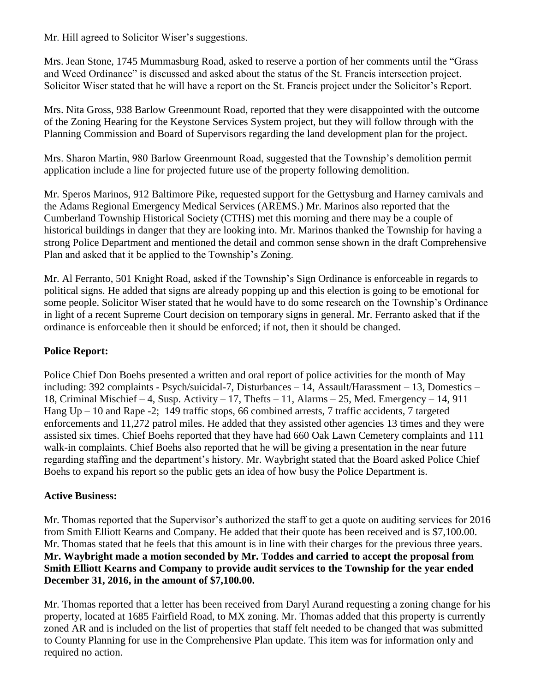Mr. Hill agreed to Solicitor Wiser's suggestions.

Mrs. Jean Stone, 1745 Mummasburg Road, asked to reserve a portion of her comments until the "Grass and Weed Ordinance" is discussed and asked about the status of the St. Francis intersection project. Solicitor Wiser stated that he will have a report on the St. Francis project under the Solicitor's Report.

Mrs. Nita Gross, 938 Barlow Greenmount Road, reported that they were disappointed with the outcome of the Zoning Hearing for the Keystone Services System project, but they will follow through with the Planning Commission and Board of Supervisors regarding the land development plan for the project.

Mrs. Sharon Martin, 980 Barlow Greenmount Road, suggested that the Township's demolition permit application include a line for projected future use of the property following demolition.

Mr. Speros Marinos, 912 Baltimore Pike, requested support for the Gettysburg and Harney carnivals and the Adams Regional Emergency Medical Services (AREMS.) Mr. Marinos also reported that the Cumberland Township Historical Society (CTHS) met this morning and there may be a couple of historical buildings in danger that they are looking into. Mr. Marinos thanked the Township for having a strong Police Department and mentioned the detail and common sense shown in the draft Comprehensive Plan and asked that it be applied to the Township's Zoning.

Mr. Al Ferranto, 501 Knight Road, asked if the Township's Sign Ordinance is enforceable in regards to political signs. He added that signs are already popping up and this election is going to be emotional for some people. Solicitor Wiser stated that he would have to do some research on the Township's Ordinance in light of a recent Supreme Court decision on temporary signs in general. Mr. Ferranto asked that if the ordinance is enforceable then it should be enforced; if not, then it should be changed.

# **Police Report:**

Police Chief Don Boehs presented a written and oral report of police activities for the month of May including: 392 complaints - Psych/suicidal-7, Disturbances – 14, Assault/Harassment – 13, Domestics – 18, Criminal Mischief – 4, Susp. Activity – 17, Thefts – 11, Alarms – 25, Med. Emergency – 14, 911 Hang Up – 10 and Rape -2; 149 traffic stops, 66 combined arrests, 7 traffic accidents, 7 targeted enforcements and 11,272 patrol miles. He added that they assisted other agencies 13 times and they were assisted six times. Chief Boehs reported that they have had 660 Oak Lawn Cemetery complaints and 111 walk-in complaints. Chief Boehs also reported that he will be giving a presentation in the near future regarding staffing and the department's history. Mr. Waybright stated that the Board asked Police Chief Boehs to expand his report so the public gets an idea of how busy the Police Department is.

### **Active Business:**

Mr. Thomas reported that the Supervisor's authorized the staff to get a quote on auditing services for 2016 from Smith Elliott Kearns and Company. He added that their quote has been received and is \$7,100.00. Mr. Thomas stated that he feels that this amount is in line with their charges for the previous three years. **Mr. Waybright made a motion seconded by Mr. Toddes and carried to accept the proposal from Smith Elliott Kearns and Company to provide audit services to the Township for the year ended December 31, 2016, in the amount of \$7,100.00.** 

Mr. Thomas reported that a letter has been received from Daryl Aurand requesting a zoning change for his property, located at 1685 Fairfield Road, to MX zoning. Mr. Thomas added that this property is currently zoned AR and is included on the list of properties that staff felt needed to be changed that was submitted to County Planning for use in the Comprehensive Plan update. This item was for information only and required no action.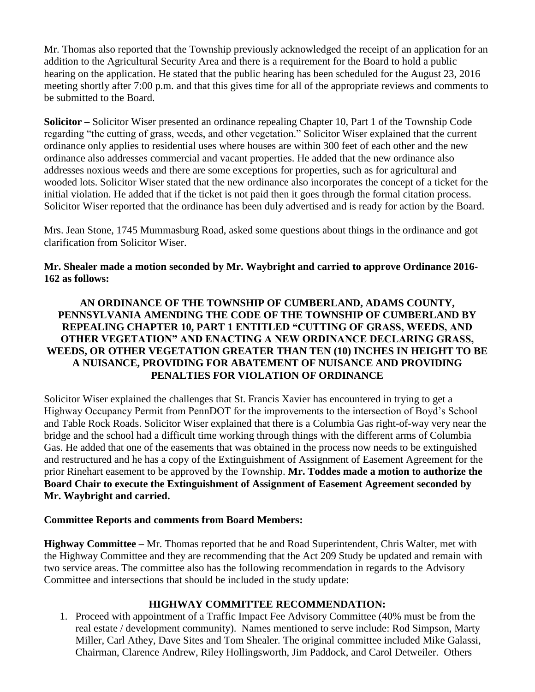Mr. Thomas also reported that the Township previously acknowledged the receipt of an application for an addition to the Agricultural Security Area and there is a requirement for the Board to hold a public hearing on the application. He stated that the public hearing has been scheduled for the August 23, 2016 meeting shortly after 7:00 p.m. and that this gives time for all of the appropriate reviews and comments to be submitted to the Board.

**Solicitor –** Solicitor Wiser presented an ordinance repealing Chapter 10, Part 1 of the Township Code regarding "the cutting of grass, weeds, and other vegetation." Solicitor Wiser explained that the current ordinance only applies to residential uses where houses are within 300 feet of each other and the new ordinance also addresses commercial and vacant properties. He added that the new ordinance also addresses noxious weeds and there are some exceptions for properties, such as for agricultural and wooded lots. Solicitor Wiser stated that the new ordinance also incorporates the concept of a ticket for the initial violation. He added that if the ticket is not paid then it goes through the formal citation process. Solicitor Wiser reported that the ordinance has been duly advertised and is ready for action by the Board.

Mrs. Jean Stone, 1745 Mummasburg Road, asked some questions about things in the ordinance and got clarification from Solicitor Wiser.

### **Mr. Shealer made a motion seconded by Mr. Waybright and carried to approve Ordinance 2016- 162 as follows:**

### **AN ORDINANCE OF THE TOWNSHIP OF CUMBERLAND, ADAMS COUNTY, PENNSYLVANIA AMENDING THE CODE OF THE TOWNSHIP OF CUMBERLAND BY REPEALING CHAPTER 10, PART 1 ENTITLED "CUTTING OF GRASS, WEEDS, AND OTHER VEGETATION" AND ENACTING A NEW ORDINANCE DECLARING GRASS, WEEDS, OR OTHER VEGETATION GREATER THAN TEN (10) INCHES IN HEIGHT TO BE A NUISANCE, PROVIDING FOR ABATEMENT OF NUISANCE AND PROVIDING PENALTIES FOR VIOLATION OF ORDINANCE**

Solicitor Wiser explained the challenges that St. Francis Xavier has encountered in trying to get a Highway Occupancy Permit from PennDOT for the improvements to the intersection of Boyd's School and Table Rock Roads. Solicitor Wiser explained that there is a Columbia Gas right-of-way very near the bridge and the school had a difficult time working through things with the different arms of Columbia Gas. He added that one of the easements that was obtained in the process now needs to be extinguished and restructured and he has a copy of the Extinguishment of Assignment of Easement Agreement for the prior Rinehart easement to be approved by the Township. **Mr. Toddes made a motion to authorize the Board Chair to execute the Extinguishment of Assignment of Easement Agreement seconded by Mr. Waybright and carried.** 

#### **Committee Reports and comments from Board Members:**

**Highway Committee –** Mr. Thomas reported that he and Road Superintendent, Chris Walter, met with the Highway Committee and they are recommending that the Act 209 Study be updated and remain with two service areas. The committee also has the following recommendation in regards to the Advisory Committee and intersections that should be included in the study update:

### **HIGHWAY COMMITTEE RECOMMENDATION:**

1. Proceed with appointment of a Traffic Impact Fee Advisory Committee (40% must be from the real estate / development community). Names mentioned to serve include: Rod Simpson, Marty Miller, Carl Athey, Dave Sites and Tom Shealer. The original committee included Mike Galassi, Chairman, Clarence Andrew, Riley Hollingsworth, Jim Paddock, and Carol Detweiler. Others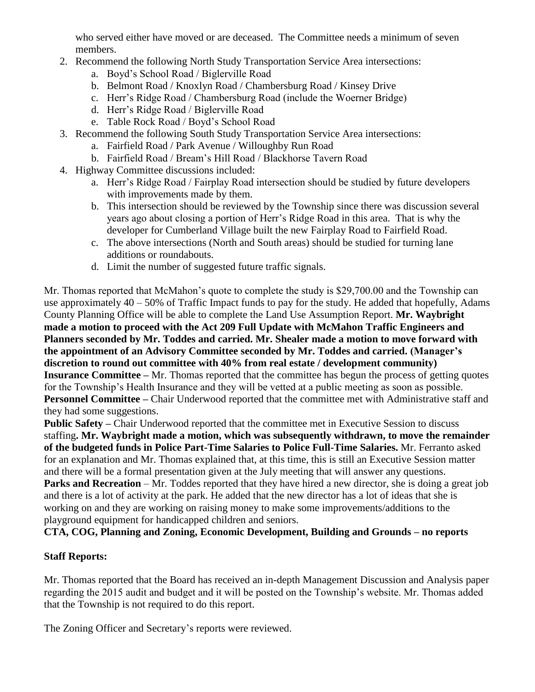who served either have moved or are deceased. The Committee needs a minimum of seven members.

- 2. Recommend the following North Study Transportation Service Area intersections:
	- a. Boyd's School Road / Biglerville Road
	- b. Belmont Road / Knoxlyn Road / Chambersburg Road / Kinsey Drive
	- c. Herr's Ridge Road / Chambersburg Road (include the Woerner Bridge)
	- d. Herr's Ridge Road / Biglerville Road
	- e. Table Rock Road / Boyd's School Road
- 3. Recommend the following South Study Transportation Service Area intersections:
	- a. Fairfield Road / Park Avenue / Willoughby Run Road
	- b. Fairfield Road / Bream's Hill Road / Blackhorse Tavern Road
- 4. Highway Committee discussions included:
	- a. Herr's Ridge Road / Fairplay Road intersection should be studied by future developers with improvements made by them.
	- b. This intersection should be reviewed by the Township since there was discussion several years ago about closing a portion of Herr's Ridge Road in this area. That is why the developer for Cumberland Village built the new Fairplay Road to Fairfield Road.
	- c. The above intersections (North and South areas) should be studied for turning lane additions or roundabouts.
	- d. Limit the number of suggested future traffic signals.

Mr. Thomas reported that McMahon's quote to complete the study is \$29,700.00 and the Township can use approximately  $40 - 50\%$  of Traffic Impact funds to pay for the study. He added that hopefully, Adams County Planning Office will be able to complete the Land Use Assumption Report. **Mr. Waybright made a motion to proceed with the Act 209 Full Update with McMahon Traffic Engineers and Planners seconded by Mr. Toddes and carried. Mr. Shealer made a motion to move forward with the appointment of an Advisory Committee seconded by Mr. Toddes and carried. (Manager's discretion to round out committee with 40% from real estate / development community) Insurance Committee –** Mr. Thomas reported that the committee has begun the process of getting quotes for the Township's Health Insurance and they will be vetted at a public meeting as soon as possible. **Personnel Committee –** Chair Underwood reported that the committee met with Administrative staff and they had some suggestions.

**Public Safety –** Chair Underwood reported that the committee met in Executive Session to discuss staffing**. Mr. Waybright made a motion, which was subsequently withdrawn, to move the remainder of the budgeted funds in Police Part-Time Salaries to Police Full-Time Salaries.** Mr. Ferranto asked for an explanation and Mr. Thomas explained that, at this time, this is still an Executive Session matter and there will be a formal presentation given at the July meeting that will answer any questions.

**Parks and Recreation** – Mr. Toddes reported that they have hired a new director, she is doing a great job and there is a lot of activity at the park. He added that the new director has a lot of ideas that she is working on and they are working on raising money to make some improvements/additions to the playground equipment for handicapped children and seniors.

**CTA, COG, Planning and Zoning, Economic Development, Building and Grounds – no reports**

# **Staff Reports:**

Mr. Thomas reported that the Board has received an in-depth Management Discussion and Analysis paper regarding the 2015 audit and budget and it will be posted on the Township's website. Mr. Thomas added that the Township is not required to do this report.

The Zoning Officer and Secretary's reports were reviewed.